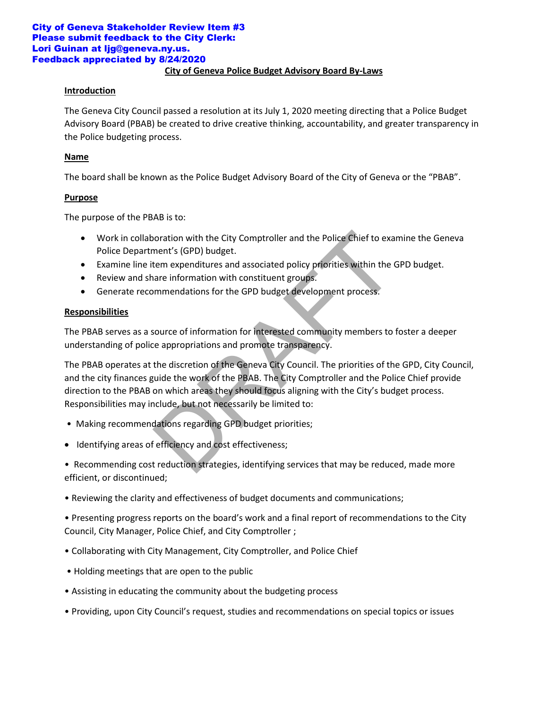#### **City of Geneva Police Budget Advisory Board By-Laws** City of Geneva Stakeholder Review Item #3 Please submit feedback to the City Clerk: Lori Guinan at ljg@geneva.ny.us. Feedback appreciated by 8/24/2020

# **Introduction**

The Geneva City Council passed a resolution at its July 1, 2020 meeting directing that a Police Budget Advisory Board (PBAB) be created to drive creative thinking, accountability, and greater transparency in the Police budgeting process.

#### **Name**

The board shall be known as the Police Budget Advisory Board of the City of Geneva or the "PBAB".

#### **Purpose**

The purpose of the PBAB is to:

- Work in collaboration with the City Comptroller and the Police Chief to examine the Geneva Police Department's (GPD) budget.
- Examine line item expenditures and associated policy priorities within the GPD budget.
- Review and share information with constituent groups.
- Generate recommendations for the GPD budget development process.

# **Responsibilities**

The PBAB serves as a source of information for interested community members to foster a deeper understanding of police appropriations and promote transparency.

The PBAB operates at the discretion of the Geneva City Council. The priorities of the GPD, City Council, and the city finances guide the work of the PBAB. The City Comptroller and the Police Chief provide direction to the PBAB on which areas they should focus aligning with the City's budget process. Responsibilities may include, but not necessarily be limited to: ooration with the City Comptroller and the Police Chief to exa<br>ment's (GPD) budget.<br>tem expenditures and associated policy priorities within the (<br>are information with constituent groups.<br>mmendations for the GPD budget dev

- Making recommendations regarding GPD budget priorities;
- Identifying areas of efficiency and cost effectiveness;

• Recommending cost reduction strategies, identifying services that may be reduced, made more efficient, or discontinued;

• Reviewing the clarity and effectiveness of budget documents and communications;

• Presenting progress reports on the board's work and a final report of recommendations to the City Council, City Manager, Police Chief, and City Comptroller ;

- Collaborating with City Management, City Comptroller, and Police Chief
- Holding meetings that are open to the public
- Assisting in educating the community about the budgeting process
- Providing, upon City Council's request, studies and recommendations on special topics or issues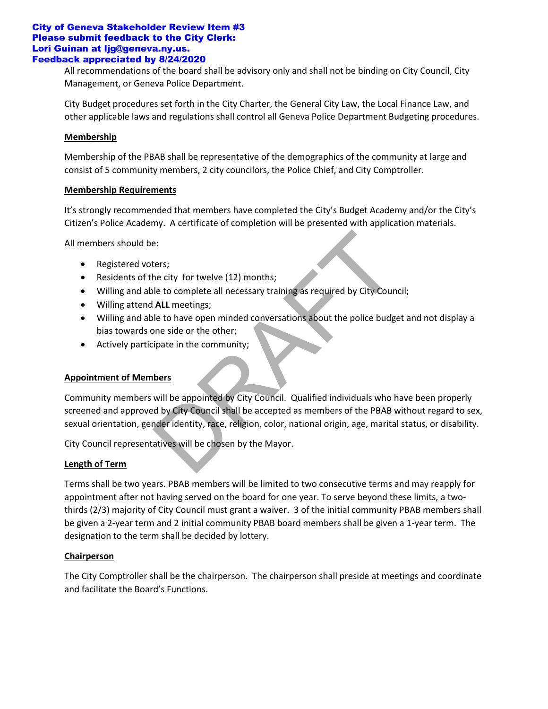#### City of Geneva Stakeholder Review Item #3 Please submit feedback to the City Clerk: Lori Guinan at ljg@geneva.ny.us. Feedback appreciated by 8/24/2020

All recommendations of the board shall be advisory only and shall not be binding on City Council, City Management, or Geneva Police Department.

City Budget procedures set forth in the City Charter, the General City Law, the Local Finance Law, and other applicable laws and regulations shall control all Geneva Police Department Budgeting procedures.

# **Membership**

Membership of the PBAB shall be representative of the demographics of the community at large and consist of 5 community members, 2 city councilors, the Police Chief, and City Comptroller.

# **Membership Requirements**

It's strongly recommended that members have completed the City's Budget Academy and/or the City's Citizen's Police Academy. A certificate of completion will be presented with application materials.

All members should be:

- Registered voters;
- Residents of the city for twelve (12) months;
- Willing and able to complete all necessary training as required by City Council;
- Willing attend **ALL** meetings;
- Willing and able to have open minded conversations about the police budget and not display a bias towards one side or the other;
- Actively participate in the community;

# **Appointment of Members**

Community members will be appointed by City Council. Qualified individuals who have been properly screened and approved by City Council shall be accepted as members of the PBAB without regard to sex, sexual orientation, gender identity, race, religion, color, national origin, age, marital status, or disability. e:<br>
Hers;<br>
ters;<br>
the city for twelve (12) months;<br>
le to complete all necessary training as required by City Coun<br> **ALL** meetings;<br>
le to have open minded conversations about the police budg<br>
one side or the other;<br>
ipate

City Council representatives will be chosen by the Mayor.

# **Length of Term**

Terms shall be two years. PBAB members will be limited to two consecutive terms and may reapply for appointment after not having served on the board for one year. To serve beyond these limits, a twothirds (2/3) majority of City Council must grant a waiver. 3 of the initial community PBAB members shall be given a 2-year term and 2 initial community PBAB board members shall be given a 1-year term. The designation to the term shall be decided by lottery.

# **Chairperson**

The City Comptroller shall be the chairperson. The chairperson shall preside at meetings and coordinate and facilitate the Board's Functions.